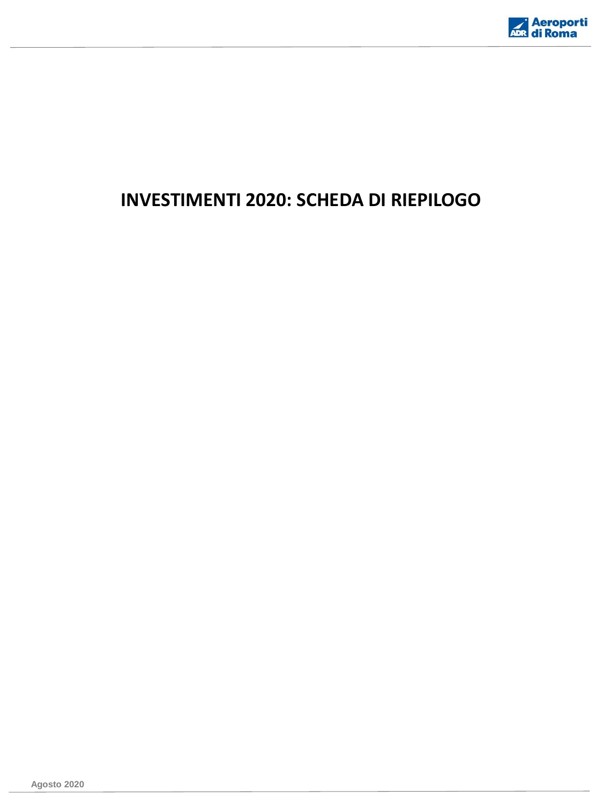

## **INVESTIMENTI 2020: SCHEDA DI RIEPILOGO**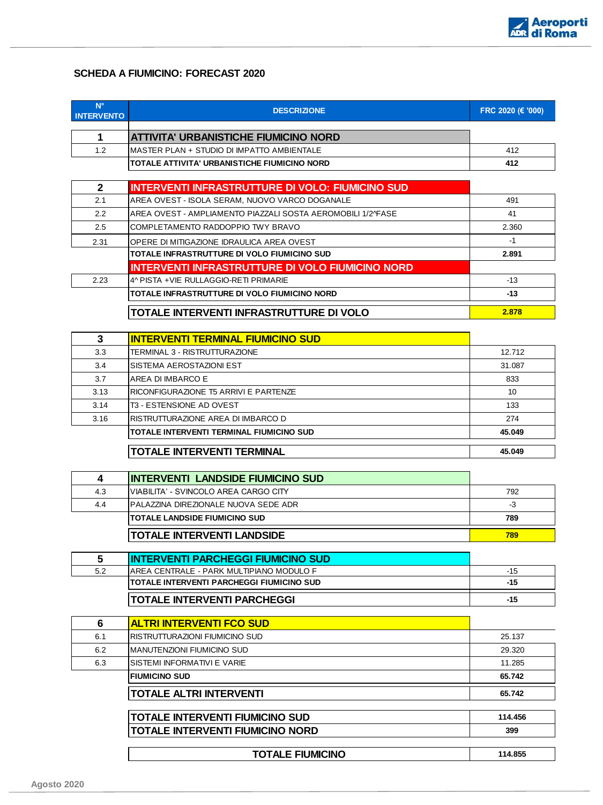

## **SCHEDA A FIUMICINO: FORECAST 2020**

**N°** 

| <b>INTERVENTO</b> | <b>DESCRIZIONE</b>                                                                    | FRC 2020 (€ '000) |
|-------------------|---------------------------------------------------------------------------------------|-------------------|
| 1.                | ATTIVITA' URBANISTICHE FIUMICINO NORD                                                 |                   |
| 1.2               | MASTER PLAN + STUDIO DI IMPATTO AMBIENTALE                                            | 412               |
|                   | TOTALE ATTIVITA' URBANISTICHE FIUMICINO NORD                                          | 412               |
|                   |                                                                                       |                   |
| $\mathbf{2}$      | <b>INTERVENTI INFRASTRUTTURE DI VOLO: FIUMICINO SUD</b>                               |                   |
| 2.1               | AREA OVEST - ISOLA SERAM, NUOVO VARCO DOGANALE                                        | 491               |
| 2.2               | AREA OVEST - AMPLIAMENTO PIAZZALI SOSTA AEROMOBILI 1/2^FASE                           | 41                |
| 2.5               | COMPLETAMENTO RADDOPPIO TWY BRAVO                                                     | 2.360             |
| 2.31              | OPERE DI MITIGAZIONE IDRAULICA AREA OVEST                                             | $-1$              |
|                   | TOTALE INFRASTRUTTURE DI VOLO FIUMICINO SUD                                           | 2.891             |
|                   | <b>INTERVENTI INFRASTRUTTURE DI VOLO FIUMICINO NORD</b>                               |                   |
| 2.23              | 4^ PISTA +VIE RULLAGGIO-RETI PRIMARIE                                                 | $-13$             |
|                   | TOTALE INFRASTRUTTURE DI VOLO FIUMICINO NORD                                          | $-13$             |
|                   | TOTALE INTERVENTI INFRASTRUTTURE DI VOLO                                              | 2.878             |
| 3                 | <b>INTERVENTI TERMINAL FIUMICINO SUD</b>                                              |                   |
| 3.3               | TERMINAL 3 - RISTRUTTURAZIONE                                                         | 12.712            |
| 3.4               | SISTEMA AEROSTAZIONI EST                                                              | 31.087            |
| 3.7               | AREA DI IMBARCO E                                                                     | 833               |
| 3.13              | RICONFIGURAZIONE T5 ARRIVI E PARTENZE                                                 | 10                |
| 3.14              | T3 - ESTENSIONE AD OVEST                                                              | 133               |
| 3.16              | RISTRUTTURAZIONE AREA DI IMBARCO D                                                    | 274               |
|                   | TOTALE INTERVENTI TERMINAL FIUMICINO SUD                                              | 45.049            |
|                   | TOTALE INTERVENTI TERMINAL                                                            | 45.049            |
| 4                 | INTERVENTI LANDSIDE FIUMICINO SUD                                                     |                   |
| 4.3               | VIABILITA' - SVINCOLO AREA CARGO CITY                                                 | 792               |
| 4.4               | PALAZZINA DIREZIONALE NUOVA SEDE ADR                                                  | -3                |
|                   | <b>TOTALE LANDSIDE FIUMICINO SUD</b>                                                  | 789               |
|                   | TOTALE INTERVENTI LANDSIDE                                                            | 789               |
|                   |                                                                                       |                   |
| 5<br>5.2          | <b>INTERVENTI PARCHEGGI FIUMICINO SUD</b><br>AREA CENTRALE - PARK MULTIPIANO MODULO F | $-15$             |
|                   | TOTALE INTERVENTI PARCHEGGI FIUMICINO SUD                                             | $-15$             |
|                   | TOTALE INTERVENTI PARCHEGGI                                                           | $-15$             |
|                   |                                                                                       |                   |
| 6                 | <b>ALTRI INTERVENTI FCO SUD</b>                                                       |                   |
| 6.1               | RISTRUTTURAZIONI FIUMICINO SUD                                                        | 25.137            |
| 6.2               | <b>MANUTENZIONI FIUMICINO SUD</b>                                                     | 29.320            |
| 6.3               | SISTEMI INFORMATIVI E VARIE                                                           | 11.285            |
|                   | <b>FIUMICINO SUD</b>                                                                  | 65.742            |
|                   | TOTALE ALTRI INTERVENTI                                                               | 65.742            |
|                   | <b>TOTALE INTERVENTI FIUMICINO SUD</b>                                                | 114.456           |
|                   | <b>TOTALE INTERVENTI FIUMICINO NORD</b>                                               | 399               |

**TOTALE FIUMICINO 114.855**